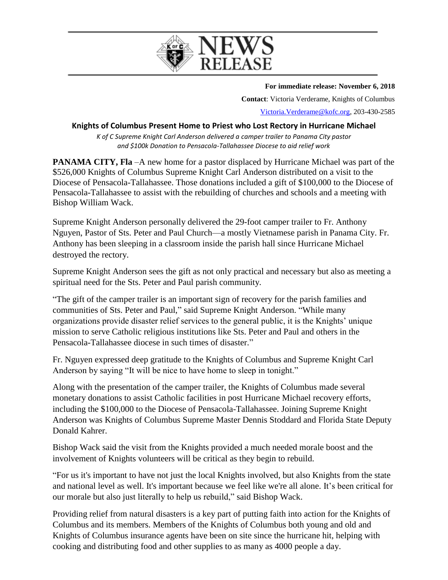

**For immediate release: November 6, 2018**

**Contact**: Victoria Verderame, Knights of Columbus [Victoria.Verderame@kofc.org,](mailto:Victoria.Verderame@kofc.org) 203-430-2585

## **Knights of Columbus Present Home to Priest who Lost Rectory in Hurricane Michael**

*K of C Supreme Knight Carl Anderson delivered a camper trailer to Panama City pastor and \$100k Donation to Pensacola-Tallahassee Diocese to aid relief work*

**PANAMA CITY, Fla** –A new home for a pastor displaced by Hurricane Michael was part of the \$526,000 Knights of Columbus Supreme Knight Carl Anderson distributed on a visit to the Diocese of Pensacola-Tallahassee. Those donations included a gift of \$100,000 to the Diocese of Pensacola-Tallahassee to assist with the rebuilding of churches and schools and a meeting with Bishop William Wack.

Supreme Knight Anderson personally delivered the 29-foot camper trailer to Fr. Anthony Nguyen, Pastor of Sts. Peter and Paul Church—a mostly Vietnamese parish in Panama City. Fr. Anthony has been sleeping in a classroom inside the parish hall since Hurricane Michael destroyed the rectory.

Supreme Knight Anderson sees the gift as not only practical and necessary but also as meeting a spiritual need for the Sts. Peter and Paul parish community.

"The gift of the camper trailer is an important sign of recovery for the parish families and communities of Sts. Peter and Paul," said Supreme Knight Anderson. "While many organizations provide disaster relief services to the general public, it is the Knights' unique mission to serve Catholic religious institutions like Sts. Peter and Paul and others in the Pensacola-Tallahassee diocese in such times of disaster."

Fr. Nguyen expressed deep gratitude to the Knights of Columbus and Supreme Knight Carl Anderson by saying "It will be nice to have home to sleep in tonight."

Along with the presentation of the camper trailer, the Knights of Columbus made several monetary donations to assist Catholic facilities in post Hurricane Michael recovery efforts, including the \$100,000 to the Diocese of Pensacola-Tallahassee. Joining Supreme Knight Anderson was Knights of Columbus Supreme Master Dennis Stoddard and Florida State Deputy Donald Kahrer.

Bishop Wack said the visit from the Knights provided a much needed morale boost and the involvement of Knights volunteers will be critical as they begin to rebuild.

"For us it's important to have not just the local Knights involved, but also Knights from the state and national level as well. It's important because we feel like we're all alone. It's been critical for our morale but also just literally to help us rebuild," said Bishop Wack.

Providing relief from natural disasters is a key part of putting faith into action for the Knights of Columbus and its members. Members of the Knights of Columbus both young and old and Knights of Columbus insurance agents have been on site since the hurricane hit, helping with cooking and distributing food and other supplies to as many as 4000 people a day.